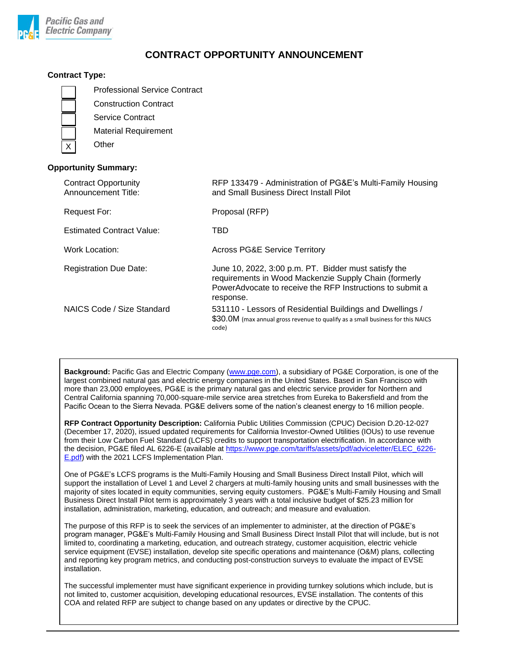

# **CONTRACT OPPORTUNITY ANNOUNCEMENT**

### **Contract Type:**

Professional Service Contract

Construction Contract

Service Contract

Material Requirement

**Other** 

## **Opportunity Summary:**

| <b>Contract Opportunity</b><br>Announcement Title: | RFP 133479 - Administration of PG&E's Multi-Family Housing<br>and Small Business Direct Install Pilot                                                                                   |
|----------------------------------------------------|-----------------------------------------------------------------------------------------------------------------------------------------------------------------------------------------|
| Request For:                                       | Proposal (RFP)                                                                                                                                                                          |
| <b>Estimated Contract Value:</b>                   | TBD                                                                                                                                                                                     |
| Work Location:                                     | <b>Across PG&amp;E Service Territory</b>                                                                                                                                                |
| <b>Registration Due Date:</b>                      | June 10, 2022, 3:00 p.m. PT. Bidder must satisfy the<br>requirements in Wood Mackenzie Supply Chain (formerly<br>PowerAdvocate to receive the RFP Instructions to submit a<br>response. |
| NAICS Code / Size Standard                         | 531110 - Lessors of Residential Buildings and Dwellings /<br>\$30.0M (max annual gross revenue to qualify as a small business for this NAICS<br>code)                                   |

**Background:** Pacific Gas and Electric Company [\(www.pge.com\)](http://www.pge.com/), a subsidiary of PG&E Corporation, is one of the largest combined natural gas and electric energy companies in the United States. Based in San Francisco with more than 23,000 employees, PG&E is the primary natural gas and electric service provider for Northern and Central California spanning 70,000-square-mile service area stretches from Eureka to Bakersfield and from the Pacific Ocean to the Sierra Nevada. PG&E delivers some of the nation's cleanest energy to 16 million people.

**RFP Contract Opportunity Description:** California Public Utilities Commission (CPUC) Decision D.20-12-027 (December 17, 2020), issued updated requirements for California Investor-Owned Utilities (IOUs) to use revenue from their Low Carbon Fuel Standard (LCFS) credits to support transportation electrification. In accordance with the decision, PG&E filed AL 6226-E (available at [https://www.pge.com/tariffs/assets/pdf/adviceletter/ELEC\\_6226-](https://www.pge.com/tariffs/assets/pdf/adviceletter/ELEC_6226-E.pdf) [E.pdf\)](https://www.pge.com/tariffs/assets/pdf/adviceletter/ELEC_6226-E.pdf) with the 2021 LCFS Implementation Plan.

One of PG&E's LCFS programs is the Multi-Family Housing and Small Business Direct Install Pilot, which will support the installation of Level 1 and Level 2 chargers at multi-family housing units and small businesses with the majority of sites located in equity communities, serving equity customers. PG&E's Multi-Family Housing and Small Business Direct Install Pilot term is approximately 3 years with a total inclusive budget of \$25.23 million for installation, administration, marketing, education, and outreach; and measure and evaluation.

The purpose of this RFP is to seek the services of an implementer to administer, at the direction of PG&E's program manager, PG&E's Multi-Family Housing and Small Business Direct Install Pilot that will include, but is not limited to, coordinating a marketing, education, and outreach strategy, customer acquisition, electric vehicle service equipment (EVSE) installation, develop site specific operations and maintenance (O&M) plans, collecting and reporting key program metrics, and conducting post-construction surveys to evaluate the impact of EVSE installation.

The successful implementer must have significant experience in providing turnkey solutions which include, but is not limited to, customer acquisition, developing educational resources, EVSE installation. The contents of this COA and related RFP are subject to change based on any updates or directive by the CPUC.